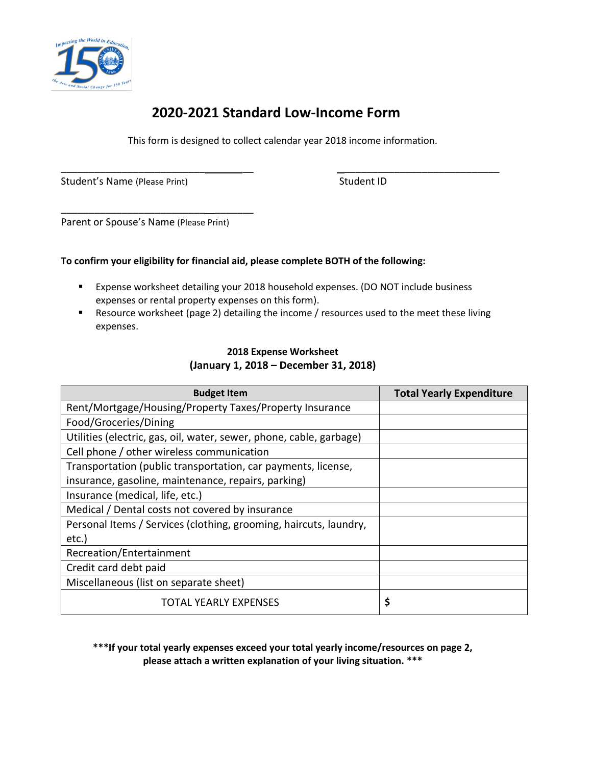

## **2020-2021 Standard Low-Income Form**

This form is designed to collect calendar year 2018 income information.

Student's Name (Please Print) Student ID Student ID

\_\_\_\_\_\_\_\_\_\_\_\_\_\_\_\_\_\_\_\_\_\_\_\_\_\_ \_\_ \_\_\_\_\_\_\_\_\_\_\_\_\_\_\_\_\_\_\_\_\_\_\_\_\_\_\_\_

Parent or Spouse's Name (Please Print)

\_\_\_\_\_\_\_\_\_\_\_\_\_\_\_\_\_\_\_\_\_\_\_\_\_\_ \_\_\_\_\_\_\_

## **To confirm your eligibility for financial aid, please complete BOTH of the following:**

- Expense worksheet detailing your 2018 household expenses. (DO NOT include business expenses or rental property expenses on this form).
- Resource worksheet (page 2) detailing the income / resources used to the meet these living expenses.

## **2018 Expense Worksheet (January 1, 2018 – December 31, 2018)**

| <b>Budget Item</b>                                                  | <b>Total Yearly Expenditure</b> |
|---------------------------------------------------------------------|---------------------------------|
| Rent/Mortgage/Housing/Property Taxes/Property Insurance             |                                 |
| Food/Groceries/Dining                                               |                                 |
| Utilities (electric, gas, oil, water, sewer, phone, cable, garbage) |                                 |
| Cell phone / other wireless communication                           |                                 |
| Transportation (public transportation, car payments, license,       |                                 |
| insurance, gasoline, maintenance, repairs, parking)                 |                                 |
| Insurance (medical, life, etc.)                                     |                                 |
| Medical / Dental costs not covered by insurance                     |                                 |
| Personal Items / Services (clothing, grooming, haircuts, laundry,   |                                 |
| etc.)                                                               |                                 |
| Recreation/Entertainment                                            |                                 |
| Credit card debt paid                                               |                                 |
| Miscellaneous (list on separate sheet)                              |                                 |
| <b>TOTAL YEARLY EXPENSES</b>                                        | \$                              |

**\*\*\*If your total yearly expenses exceed your total yearly income/resources on page 2, please attach a written explanation of your living situation. \*\*\***